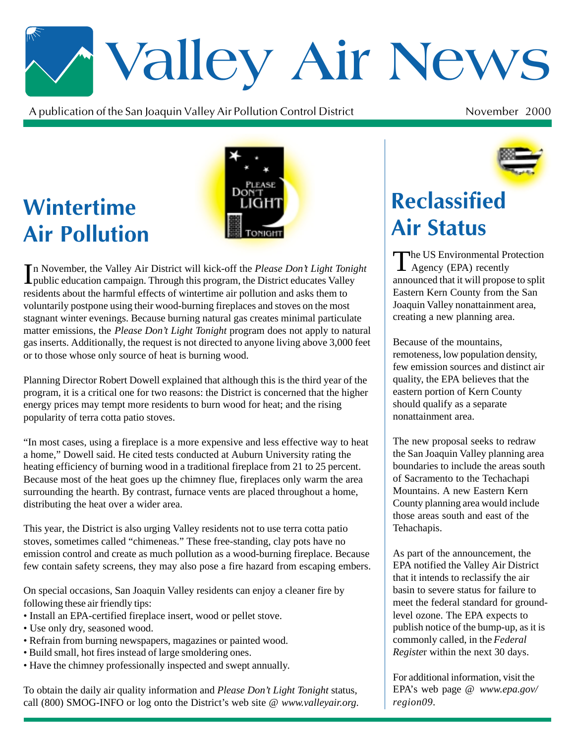# \*Valley Air News

A publication of the San Joaquin Valley Air Pollution Control District  $\mathfrak{t}$  November 2000

## **Wintertime Air Pollution**



In November, the Valley Air District will kick-off the *Please Don't Light Tonight* public education campaign. Through this program, the District educates Valley public education campaign. Through this program, the District educates Valley residents about the harmful effects of wintertime air pollution and asks them to voluntarily postpone using their wood-burning fireplaces and stoves on the most stagnant winter evenings. Because burning natural gas creates minimal particulate matter emissions, the *Please Don't Light Tonight* program does not apply to natural gas inserts. Additionally, the request is not directed to anyone living above 3,000 feet or to those whose only source of heat is burning wood.

Planning Director Robert Dowell explained that although this is the third year of the program, it is a critical one for two reasons: the District is concerned that the higher energy prices may tempt more residents to burn wood for heat; and the rising popularity of terra cotta patio stoves.

"In most cases, using a fireplace is a more expensive and less effective way to heat a home," Dowell said. He cited tests conducted at Auburn University rating the heating efficiency of burning wood in a traditional fireplace from 21 to 25 percent. Because most of the heat goes up the chimney flue, fireplaces only warm the area surrounding the hearth. By contrast, furnace vents are placed throughout a home, distributing the heat over a wider area.

This year, the District is also urging Valley residents not to use terra cotta patio stoves, sometimes called "chimeneas." These free-standing, clay pots have no emission control and create as much pollution as a wood-burning fireplace. Because few contain safety screens, they may also pose a fire hazard from escaping embers.

On special occasions, San Joaquin Valley residents can enjoy a cleaner fire by following these air friendly tips:

- Install an EPA-certified fireplace insert, wood or pellet stove.
- Use only dry, seasoned wood.
- Refrain from burning newspapers, magazines or painted wood.
- Build small, hot fires instead of large smoldering ones.
- Have the chimney professionally inspected and swept annually.

To obtain the daily air quality information and *Please Don't Light Tonight* status, call (800) SMOG-INFO or log onto the District's web site @ *www.valleyair.org*.



### **Reclassified Air Status**

The US Environmental Protection  $\blacksquare$  Agency (EPA) recently announced that it will propose to split Eastern Kern County from the San Joaquin Valley nonattainment area, creating a new planning area.

Because of the mountains, remoteness, low population density, few emission sources and distinct air quality, the EPA believes that the eastern portion of Kern County should qualify as a separate nonattainment area.

The new proposal seeks to redraw the San Joaquin Valley planning area boundaries to include the areas south of Sacramento to the Techachapi Mountains. A new Eastern Kern County planning area would include those areas south and east of the Tehachapis.

As part of the announcement, the EPA notified the Valley Air District that it intends to reclassify the air basin to severe status for failure to meet the federal standard for groundlevel ozone. The EPA expects to publish notice of the bump-up, as it is commonly called, in the *Federal Registe*r within the next 30 days.

For additional information, visit the EPA's web page @ *www.epa.gov/ region09.*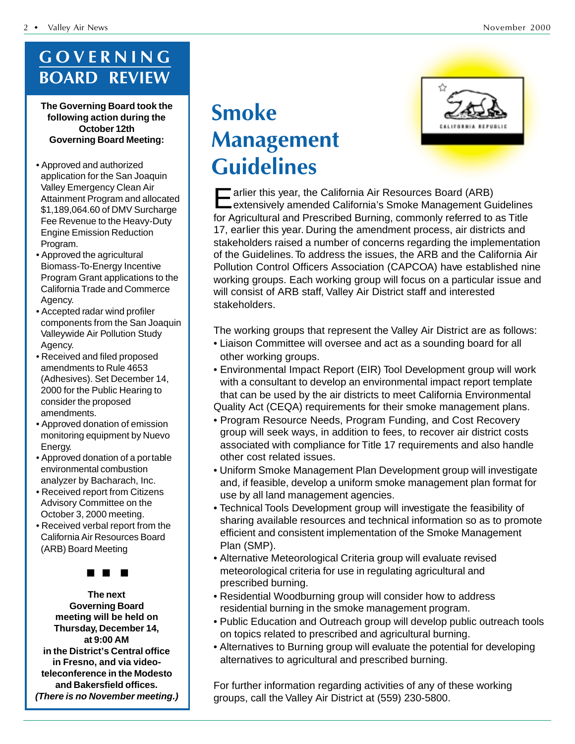#### GOVERNING **BOARD REVIEW**

**The Governing Board took the following action during the October 12th Governing Board Meeting:**

- Approved and authorized application for the San Joaquin Valley Emergency Clean Air Attainment Program and allocated \$1,189,064.60 of DMV Surcharge Fee Revenue to the Heavy-Duty Engine Emission Reduction Program.
- Approved the agricultural Biomass-To-Energy Incentive Program Grant applications to the California Trade and Commerce Agency.
- Accepted radar wind profiler components from the San Joaquin Valleywide Air Pollution Study Agency.
- Received and filed proposed amendments to Rule 4653 (Adhesives). Set December 14, 2000 for the Public Hearing to consider the proposed amendments.
- Approved donation of emission monitoring equipment by Nuevo Energy.
- Approved donation of a portable environmental combustion analyzer by Bacharach, Inc.
- Received report from Citizens Advisory Committee on the October 3, 2000 meeting.
- Received verbal report from the California Air Resources Board (ARB) Board Meeting



**The next Governing Board meeting will be held on Thursday, December 14, at 9:00 AM in the District's Central office in Fresno, and via videoteleconference in the Modesto and Bakersfield offices. (There is no November meeting.)**

#### **Smoke Management Guidelines**



Earlier this year, the California Air Resources Board (ARB)<br>
Extensively amended California's Smoke Management Guidelines for Agricultural and Prescribed Burning, commonly referred to as Title 17, earlier this year. During the amendment process, air districts and stakeholders raised a number of concerns regarding the implementation of the Guidelines. To address the issues, the ARB and the California Air Pollution Control Officers Association (CAPCOA) have established nine working groups. Each working group will focus on a particular issue and will consist of ARB staff, Valley Air District staff and interested stakeholders.

The working groups that represent the Valley Air District are as follows:

- Liaison Committee will oversee and act as a sounding board for all other working groups.
- Environmental Impact Report (EIR) Tool Development group will work with a consultant to develop an environmental impact report template that can be used by the air districts to meet California Environmental Quality Act (CEQA) requirements for their smoke management plans.
- Program Resource Needs, Program Funding, and Cost Recovery group will seek ways, in addition to fees, to recover air district costs associated with compliance for Title 17 requirements and also handle other cost related issues.
- Uniform Smoke Management Plan Development group will investigate and, if feasible, develop a uniform smoke management plan format for use by all land management agencies.
- Technical Tools Development group will investigate the feasibility of sharing available resources and technical information so as to promote efficient and consistent implementation of the Smoke Management Plan (SMP).
- Alternative Meteorological Criteria group will evaluate revised meteorological criteria for use in regulating agricultural and prescribed burning.
- Residential Woodburning group will consider how to address residential burning in the smoke management program.
- Public Education and Outreach group will develop public outreach tools on topics related to prescribed and agricultural burning.
- Alternatives to Burning group will evaluate the potential for developing alternatives to agricultural and prescribed burning.

For further information regarding activities of any of these working groups, call the Valley Air District at (559) 230-5800.